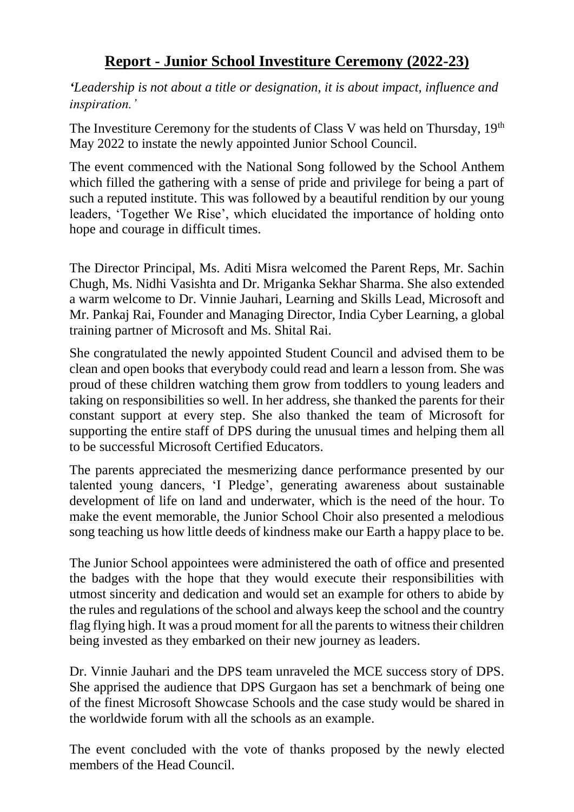## **Report - Junior School Investiture Ceremony (2022-23)**

*'Leadership is not about a title or designation, it is about impact, influence and inspiration.'*

The Investiture Ceremony for the students of Class V was held on Thursday,  $19<sup>th</sup>$ May 2022 to instate the newly appointed Junior School Council.

The event commenced with the National Song followed by the School Anthem which filled the gathering with a sense of pride and privilege for being a part of such a reputed institute. This was followed by a beautiful rendition by our young leaders, 'Together We Rise', which elucidated the importance of holding onto hope and courage in difficult times.

The Director Principal, Ms. Aditi Misra welcomed the Parent Reps, Mr. Sachin Chugh, Ms. Nidhi Vasishta and Dr. Mriganka Sekhar Sharma. She also extended a warm welcome to Dr. Vinnie Jauhari, Learning and Skills Lead, Microsoft and Mr. Pankaj Rai, Founder and Managing Director, India Cyber Learning, a global training partner of Microsoft and Ms. Shital Rai.

She congratulated the newly appointed Student Council and advised them to be clean and open books that everybody could read and learn a lesson from. She was proud of these children watching them grow from toddlers to young leaders and taking on responsibilities so well. In her address, she thanked the parents for their constant support at every step. She also thanked the team of Microsoft for supporting the entire staff of DPS during the unusual times and helping them all to be successful Microsoft Certified Educators.

The parents appreciated the mesmerizing dance performance presented by our talented young dancers, 'I Pledge', generating awareness about sustainable development of life on land and underwater, which is the need of the hour. To make the event memorable, the Junior School Choir also presented a melodious song teaching us how little deeds of kindness make our Earth a happy place to be.

The Junior School appointees were administered the oath of office and presented the badges with the hope that they would execute their responsibilities with utmost sincerity and dedication and would set an example for others to abide by the rules and regulations of the school and always keep the school and the country flag flying high. It was a proud moment for all the parents to witness their children being invested as they embarked on their new journey as leaders.

Dr. Vinnie Jauhari and the DPS team unraveled the MCE success story of DPS. She apprised the audience that DPS Gurgaon has set a benchmark of being one of the finest Microsoft Showcase Schools and the case study would be shared in the worldwide forum with all the schools as an example.

The event concluded with the vote of thanks proposed by the newly elected members of the Head Council.